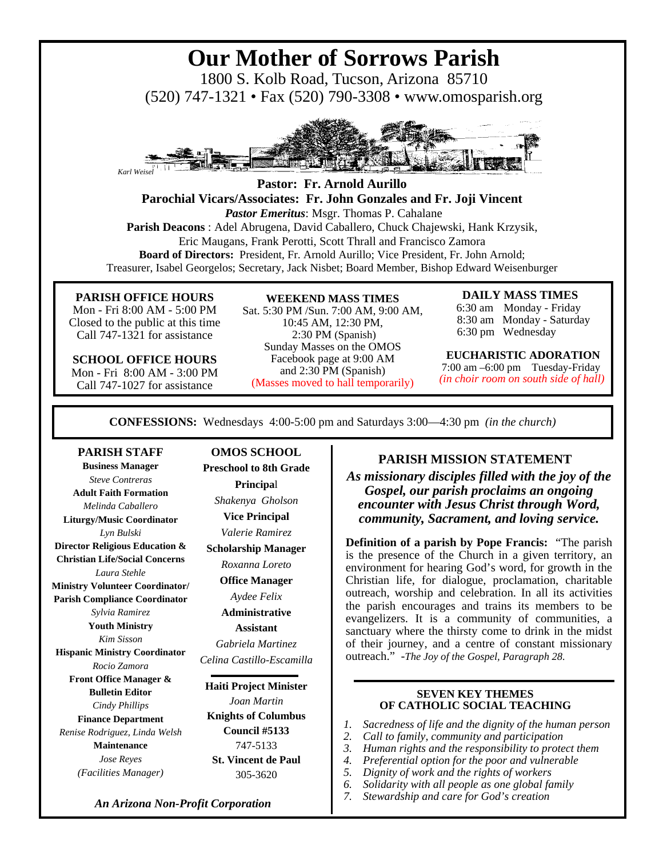# **Our Mother of Sorrows Parish**

1800 S. Kolb Road, Tucson, Arizona 85710 (520) 747-1321 • Fax (520) 790-3308 • www.omosparish.org



**Pastor: Fr. Arnold Aurillo Parochial Vicars/Associates: Fr. John Gonzales and Fr. Joji Vincent** *Pastor Emeritus*: Msgr. Thomas P. Cahalane **Parish Deacons** : Adel Abrugena, David Caballero, Chuck Chajewski, Hank Krzysik, Eric Maugans, Frank Perotti, Scott Thrall and Francisco Zamora **Board of Directors:** President, Fr. Arnold Aurillo; Vice President, Fr. John Arnold; Treasurer, Isabel Georgelos; Secretary, Jack Nisbet; Board Member, Bishop Edward Weisenburger

#### **PARISH OFFICE HOURS**

Mon - Fri 8:00 AM - 5:00 PM Closed to the public at this time Call 747-1321 for assistance

**SCHOOL OFFICE HOURS**  Mon - Fri 8:00 AM - 3:00 PM Call 747-1027 for assistance

#### **WEEKEND MASS TIMES**

Sat. 5:30 PM /Sun. 7:00 AM, 9:00 AM, 10:45 AM, 12:30 PM, 2:30 PM (Spanish) Sunday Masses on the OMOS Facebook page at 9:00 AM and 2:30 PM (Spanish) (Masses moved to hall temporarily)

#### **DAILY MASS TIMES**

 6:30 am Monday - Friday 8:30 am Monday - Saturday 6:30 pm Wednesday

#### **EUCHARISTIC ADORATION**

 7:00 am –6:00 pm Tuesday-Friday  *(in choir room on south side of hall)*

**CONFESSIONS:** Wednesdays 4:00-5:00 pm and Saturdays 3:00—4:30 pm *(in the church)*

#### **PARISH STAFF**

**Business Manager**  *Steve Contreras* **Adult Faith Formation**  *Melinda Caballero*  **Liturgy/Music Coordinator**  *Lyn Bulski* **Director Religious Education & Christian Life/Social Concerns**  *Laura Stehle*  **Ministry Volunteer Coordinator/ Parish Compliance Coordinator**  *Sylvia Ramirez*  **Youth Ministry**  *Kim Sisson* **Hispanic Ministry Coordinator**  *Rocio Zamora* **Front Office Manager & Bulletin Editor**  *Cindy Phillips*  **Finance Department**  *Renise Rodriguez, Linda Welsh*  **Maintenance**  *Jose Reyes (Facilities Manager)* 

**OMOS SCHOOL Preschool to 8th Grade Principa**l *Shakenya Gholson*  **Vice Principal**  *Valerie Ramirez*  **Scholarship Manager**  *Roxanna Loreto*  **Office Manager**  *Aydee Felix*  **Administrative Assistant**  *Gabriela Martinez Celina Castillo-Escamilla*  **Haiti Project Minister**  *Joan Martin*  **Knights of Columbus** 

**Council #5133**  747-5133 **St. Vincent de Paul**  305-3620

### **PARISH MISSION STATEMENT**

*As missionary disciples filled with the joy of the Gospel, our parish proclaims an ongoing encounter with Jesus Christ through Word, community, Sacrament, and loving service.* 

**Definition of a parish by Pope Francis:** "The parish is the presence of the Church in a given territory, an environment for hearing God's word, for growth in the Christian life, for dialogue, proclamation, charitable outreach, worship and celebration. In all its activities the parish encourages and trains its members to be evangelizers. It is a community of communities, a sanctuary where the thirsty come to drink in the midst of their journey, and a centre of constant missionary outreach." -*The Joy of the Gospel, Paragraph 28.* 

#### **SEVEN KEY THEMES OF CATHOLIC SOCIAL TEACHING**

- *1. Sacredness of life and the dignity of the human person*
- *2. Call to family, community and participation*
- *3. Human rights and the responsibility to protect them*
- *4. Preferential option for the poor and vulnerable*
- *5. Dignity of work and the rights of workers*
- *6. Solidarity with all people as one global family*
- *7. Stewardship and care for God's creation*

*An Arizona Non-Profit Corporation*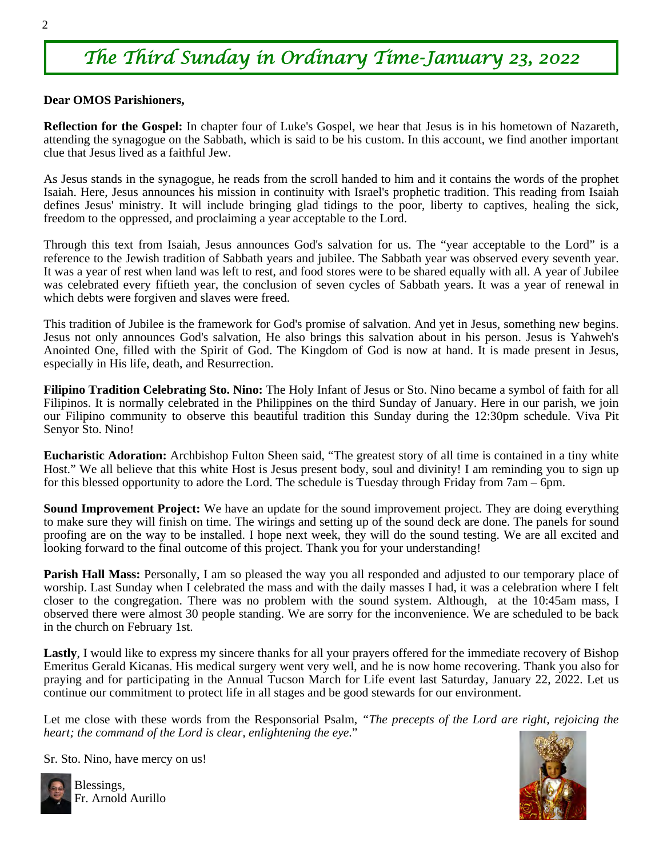# *The Third Sunday in Ordinary Time-January 23, 2022*

#### **Dear OMOS Parishioners,**

**Reflection for the Gospel:** In chapter four of Luke's Gospel, we hear that Jesus is in his hometown of Nazareth, attending the synagogue on the Sabbath, which is said to be his custom. In this account, we find another important clue that Jesus lived as a faithful Jew.

As Jesus stands in the synagogue, he reads from the scroll handed to him and it contains the words of the prophet Isaiah. Here, Jesus announces his mission in continuity with Israel's prophetic tradition. This reading from Isaiah defines Jesus' ministry. It will include bringing glad tidings to the poor, liberty to captives, healing the sick, freedom to the oppressed, and proclaiming a year acceptable to the Lord.

Through this text from Isaiah, Jesus announces God's salvation for us. The "year acceptable to the Lord" is a reference to the Jewish tradition of Sabbath years and jubilee. The Sabbath year was observed every seventh year. It was a year of rest when land was left to rest, and food stores were to be shared equally with all. A year of Jubilee was celebrated every fiftieth year, the conclusion of seven cycles of Sabbath years. It was a year of renewal in which debts were forgiven and slaves were freed.

This tradition of Jubilee is the framework for God's promise of salvation. And yet in Jesus, something new begins. Jesus not only announces God's salvation, He also brings this salvation about in his person. Jesus is Yahweh's Anointed One, filled with the Spirit of God. The Kingdom of God is now at hand. It is made present in Jesus, especially in His life, death, and Resurrection.

**Filipino Tradition Celebrating Sto. Nino:** The Holy Infant of Jesus or Sto. Nino became a symbol of faith for all Filipinos. It is normally celebrated in the Philippines on the third Sunday of January. Here in our parish, we join our Filipino community to observe this beautiful tradition this Sunday during the 12:30pm schedule. Viva Pit Senyor Sto. Nino!

**Eucharistic Adoration:** Archbishop Fulton Sheen said, "The greatest story of all time is contained in a tiny white Host." We all believe that this white Host is Jesus present body, soul and divinity! I am reminding you to sign up for this blessed opportunity to adore the Lord. The schedule is Tuesday through Friday from 7am – 6pm.

**Sound Improvement Project:** We have an update for the sound improvement project. They are doing everything to make sure they will finish on time. The wirings and setting up of the sound deck are done. The panels for sound proofing are on the way to be installed. I hope next week, they will do the sound testing. We are all excited and looking forward to the final outcome of this project. Thank you for your understanding!

**Parish Hall Mass:** Personally, I am so pleased the way you all responded and adjusted to our temporary place of worship. Last Sunday when I celebrated the mass and with the daily masses I had, it was a celebration where I felt closer to the congregation. There was no problem with the sound system. Although, at the 10:45am mass, I observed there were almost 30 people standing. We are sorry for the inconvenience. We are scheduled to be back in the church on February 1st.

**Lastly**, I would like to express my sincere thanks for all your prayers offered for the immediate recovery of Bishop Emeritus Gerald Kicanas. His medical surgery went very well, and he is now home recovering. Thank you also for praying and for participating in the Annual Tucson March for Life event last Saturday, January 22, 2022. Let us continue our commitment to protect life in all stages and be good stewards for our environment.

Let me close with these words from the Responsorial Psalm, *"The precepts of the Lord are right, rejoicing the heart; the command of the Lord is clear, enlightening the eye*."

Sr. Sto. Nino, have mercy on us!



Blessings, Fr. Arnold Aurillo

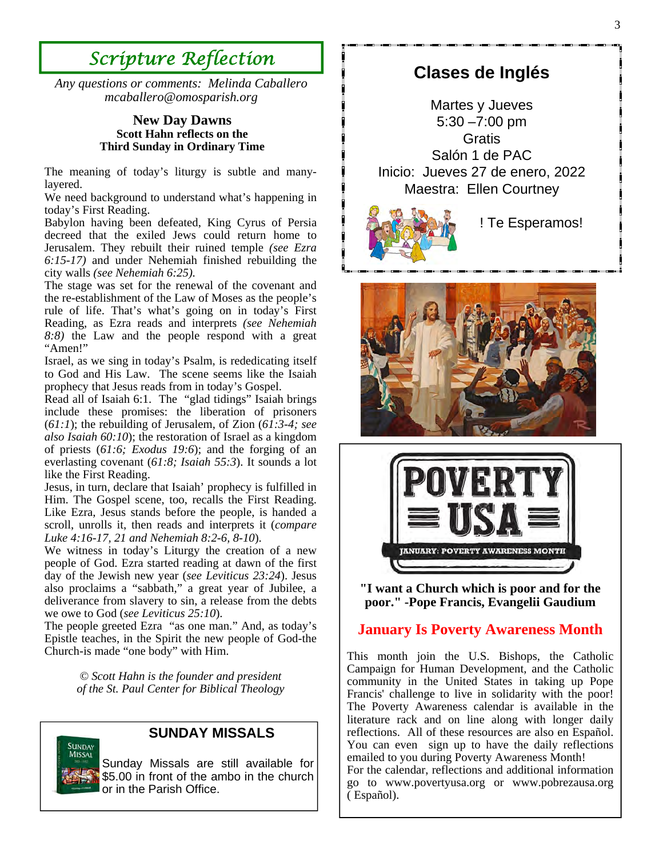# *Scripture Reflection*

*Any questions or comments: Melinda Caballero mcaballero@omosparish.org* 

#### **New Day Dawns Scott Hahn reflects on the Third Sunday in Ordinary Time**

The meaning of today's liturgy is subtle and manylayered.

We need background to understand what's happening in today's First Reading.

Babylon having been defeated, King Cyrus of Persia decreed that the exiled Jews could return home to Jerusalem. They rebuilt their ruined temple *(see Ezra 6:15-17)* and under Nehemiah finished rebuilding the city walls *(see Nehemiah 6:25).*

The stage was set for the renewal of the covenant and the re-establishment of the Law of Moses as the people's rule of life. That's what's going on in today's First Reading, as Ezra reads and interprets *(see Nehemiah 8:8)* the Law and the people respond with a great "Amen!"

Israel, as we sing in today's Psalm, is rededicating itself to God and His Law. The scene seems like the Isaiah prophecy that Jesus reads from in today's Gospel.

Read all of Isaiah 6:1. The "glad tidings" Isaiah brings include these promises: the liberation of prisoners (*61:1*); the rebuilding of Jerusalem, of Zion (*61:3-4; see also Isaiah 60:10*); the restoration of Israel as a kingdom of priests (*61:6; Exodus 19:6*); and the forging of an everlasting covenant (*61:8; Isaiah 55:3*). It sounds a lot like the First Reading.

Jesus, in turn, declare that Isaiah' prophecy is fulfilled in Him. The Gospel scene, too, recalls the First Reading. Like Ezra, Jesus stands before the people, is handed a scroll, unrolls it, then reads and interprets it (*compare Luke 4:16-17, 21 and Nehemiah 8:2-6, 8-10*).

We witness in today's Liturgy the creation of a new people of God. Ezra started reading at dawn of the first day of the Jewish new year (*see Leviticus 23:24*). Jesus also proclaims a "sabbath," a great year of Jubilee, a deliverance from slavery to sin, a release from the debts we owe to God (*see Leviticus 25:10*).

The people greeted Ezra "as one man." And, as today's Epistle teaches, in the Spirit the new people of God-the Church-is made "one body" with Him.

> *© Scott Hahn is the founder and president of the St. Paul Center for Biblical Theology*



#### **SUNDAY MISSALS**

Sunday Missals are still available for \$5.00 in front of the ambo in the church or in the Parish Office.

# **Clases de Inglés**

Martes y Jueves 5:30 –7:00 pm **Gratis** Salón 1 de PAC Inicio: Jueves 27 de enero, 2022 Maestra: Ellen Courtney



! Te Esperamos!





**"I want a Church which is poor and for the poor." -Pope Francis, Evangelii Gaudium** 

### **January Is Poverty Awareness Month**

This month join the U.S. Bishops, the Catholic Campaign for Human Development, and the Catholic community in the United States in taking up Pope Francis' challenge to live in solidarity with the poor! The Poverty Awareness calendar is available in the literature rack and on line along with longer daily reflections. All of these resources are also en Español. You can even sign up to have the daily reflections emailed to you during Poverty Awareness Month! For the calendar, reflections and additional information go to www.povertyusa.org or www.pobrezausa.org ( Español).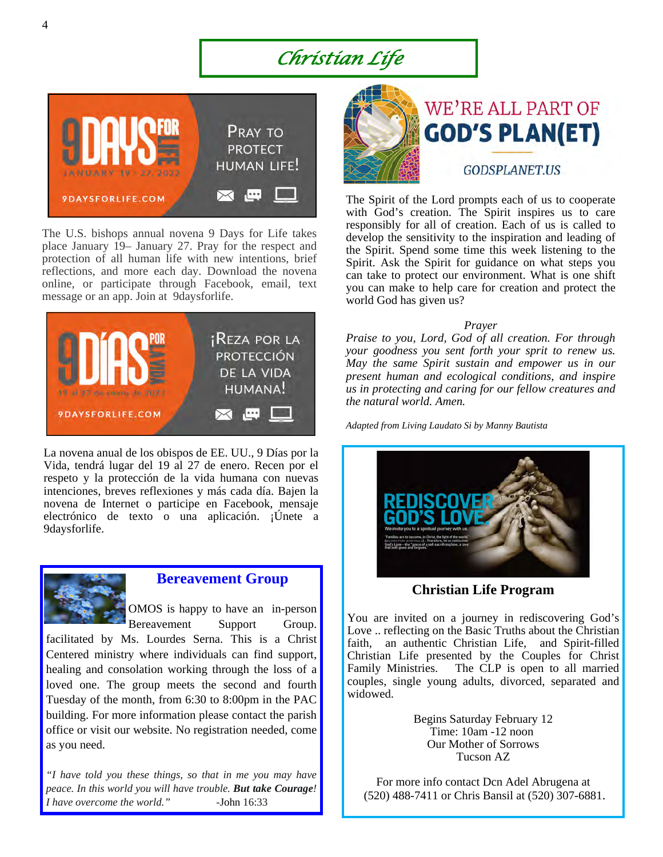# *Christian Life*



The U.S. bishops annual novena 9 Days for Life takes place January 19– January 27. Pray for the respect and protection of all human life with new intentions, brief reflections, and more each day. Download the novena online, or participate through Facebook, email, text message or an app. Join at 9daysforlife.



La novena anual de los obispos de EE. UU., 9 Días por la Vida, tendrá lugar del 19 al 27 de enero. Recen por el respeto y la protección de la vida humana con nuevas intenciones, breves reflexiones y más cada día. Bajen la novena de Internet o participe en Facebook, mensaje electrónico de texto o una aplicación. ¡Únete a 9daysforlife.



#### **Bereavement Group**

OMOS is happy to have an in-person Bereavement Support Group.

facilitated by Ms. Lourdes Serna. This is a Christ Centered ministry where individuals can find support, healing and consolation working through the loss of a loved one. The group meets the second and fourth Tuesday of the month, from 6:30 to 8:00pm in the PAC building. For more information please contact the parish office or visit our website. No registration needed, come as you need.

*"I have told you these things, so that in me you may have peace. In this world you will have trouble. But take Courage! I have overcome the world." -*John 16:33





The Spirit of the Lord prompts each of us to cooperate with God's creation. The Spirit inspires us to care responsibly for all of creation. Each of us is called to develop the sensitivity to the inspiration and leading of the Spirit. Spend some time this week listening to the Spirit. Ask the Spirit for guidance on what steps you can take to protect our environment. What is one shift you can make to help care for creation and protect the world God has given us?

#### *Prayer*

*Praise to you, Lord, God of all creation. For through your goodness you sent forth your sprit to renew us. May the same Spirit sustain and empower us in our present human and ecological conditions, and inspire us in protecting and caring for our fellow creatures and the natural world. Amen.* 

*Adapted from Living Laudato Si by Manny Bautista* 



**Christian Life Program** 

You are invited on a journey in rediscovering God's Love .. reflecting on the Basic Truths about the Christian faith, an authentic Christian Life, and Spirit-filled Christian Life presented by the Couples for Christ Family Ministries. The CLP is open to all married couples, single young adults, divorced, separated and widowed.

> Begins Saturday February 12 Time: 10am -12 noon Our Mother of Sorrows Tucson AZ

For more info contact Dcn Adel Abrugena at (520) 488-7411 or Chris Bansil at (520) 307-6881.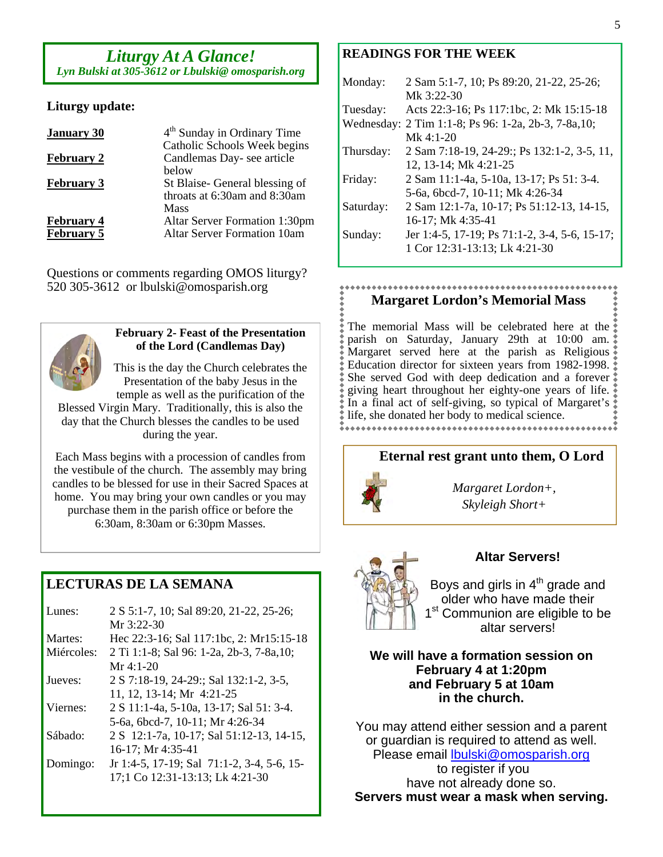# *Liturgy At A Glance!*

*Lyn Bulski at 305-3612 or Lbulski@ omosparish.org*

#### **Liturgy update:**

| <b>January 30</b> | 4 <sup>th</sup> Sunday in Ordinary Time                   |
|-------------------|-----------------------------------------------------------|
| <b>February 2</b> | Catholic Schools Week begins<br>Candlemas Day-see article |
|                   | helow                                                     |
| <b>February 3</b> | St Blaise- General blessing of                            |
|                   | throats at $6:30$ am and $8:30$ am                        |
|                   | Mass                                                      |
| <b>February 4</b> | <b>Altar Server Formation 1:30pm</b>                      |
| <b>February 5</b> | <b>Altar Server Formation 10am</b>                        |

Questions or comments regarding OMOS liturgy? 520 305-3612 or lbulski@omosparish.org



#### **February 2- Feast of the Presentation of the Lord (Candlemas Day)**

This is the day the Church celebrates the Presentation of the baby Jesus in the temple as well as the purification of the Blessed Virgin Mary. Traditionally, this is also the day that the Church blesses the candles to be used

during the year.

Each Mass begins with a procession of candles from the vestibule of the church. The assembly may bring candles to be blessed for use in their Sacred Spaces at home. You may bring your own candles or you may purchase them in the parish office or before the 6:30am, 8:30am or 6:30pm Masses.

### **LECTURAS DE LA SEMANA**

| 2 S 5:1-7, 10; Sal 89:20, 21-22, 25-26;<br>Mr $3:22-30$ |
|---------------------------------------------------------|
| Hec 22:3-16; Sal 117:1bc, 2: Mr15:15-18                 |
| 2 Ti 1:1-8; Sal 96: 1-2a, 2b-3, 7-8a, 10;               |
| $Mr 4:1-20$                                             |
| 2 S 7:18-19, 24-29:; Sal 132:1-2, 3-5,                  |
| 11, 12, 13-14; Mr 4:21-25                               |
| 2 S 11:1-4a, 5-10a, 13-17; Sal 51: 3-4.                 |
| 5-6a, 6bcd-7, 10-11; Mr 4:26-34                         |
| 2 S 12:1-7a, 10-17; Sal 51:12-13, 14-15,                |
| 16-17; Mr 4:35-41                                       |
| Jr 1:4-5, 17-19; Sal 71:1-2, 3-4, 5-6, 15-              |
| 17;1 Co 12:31-13:13; Lk 4:21-30                         |
|                                                         |

#### **READINGS FOR THE WEEK**

| Monday:    | 2 Sam 5:1-7, 10; Ps 89:20, 21-22, 25-26;      |
|------------|-----------------------------------------------|
|            | Mk 3:22-30                                    |
| Tuesday:   | Acts 22:3-16; Ps 117:1bc, 2: Mk 15:15-18      |
| Wednesday: | 2 Tim 1:1-8; Ps 96: 1-2a, 2b-3, 7-8a, 10;     |
|            | Mk $4:1-20$                                   |
| Thursday:  | 2 Sam 7:18-19, 24-29:; Ps 132:1-2, 3-5, 11,   |
|            | 12, 13-14; Mk 4:21-25                         |
| Friday:    | 2 Sam 11:1-4a, 5-10a, 13-17; Ps 51: 3-4.      |
|            | 5-6a, 6bcd-7, 10-11; Mk 4:26-34               |
| Saturday:  | 2 Sam 12:1-7a, 10-17; Ps 51:12-13, 14-15,     |
|            | 16-17; Mk 4:35-41                             |
| Sunday:    | Jer 1:4-5, 17-19; Ps 71:1-2, 3-4, 5-6, 15-17; |
|            | 1 Cor 12:31-13:13; Lk 4:21-30                 |
|            |                                               |

#### **Margaret Lordon's Memorial Mass**

The memorial Mass will be celebrated here at the parish on Saturday, January 29th at 10:00 am. Margaret served here at the parish as Religious Education director for sixteen years from 1982-1998. She served God with deep dedication and a forever giving heart throughout her eighty-one years of life. In a final act of self-giving, so typical of Margaret's  $\dot{\bullet}$ life, she donated her body to medical science.

#### **Eternal rest grant unto them, O Lord**



*Margaret Lordon+, Skyleigh Short+* 



#### **Altar Servers!**

Boys and girls in  $4<sup>th</sup>$  grade and older who have made their 1<sup>st</sup> Communion are eligible to be altar servers!

**We will have a formation session on February 4 at 1:20pm and February 5 at 10am in the church.** 

You may attend either session and a parent or guardian is required to attend as well. Please email lbulski@omosparish.org to register if you have not already done so. **Servers must wear a mask when serving.**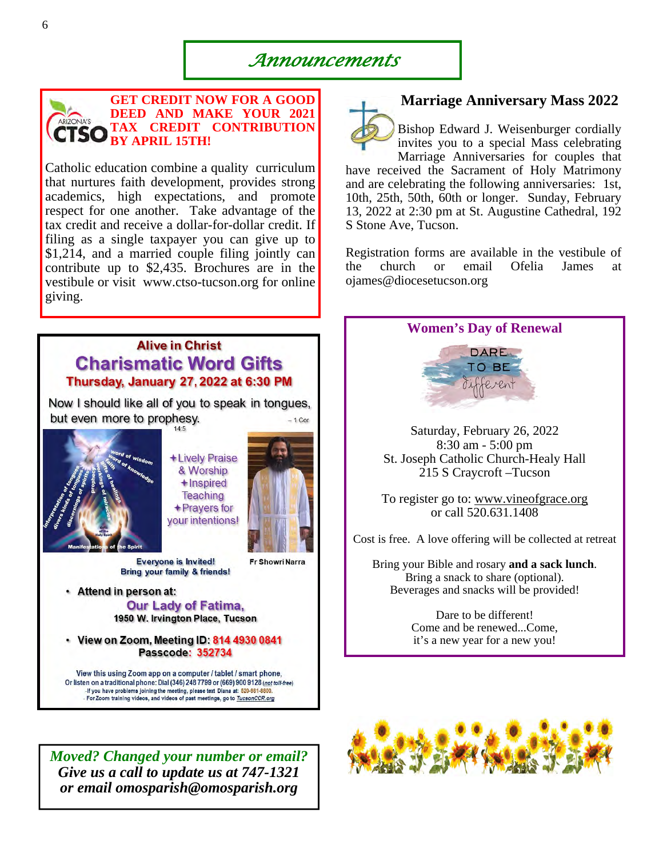*Announcements* 



**GET CREDIT NOW FOR A GOOD DEED AND MAKE YOUR 2021 TAX CREDIT CONTRIBUTION CTSO** BY APRIL 15TH!

Catholic education combine a quality curriculum that nurtures faith development, provides strong academics, high expectations, and promote respect for one another. Take advantage of the tax credit and receive a dollar-for-dollar credit. If filing as a single taxpayer you can give up to \$1,214, and a married couple filing jointly can contribute up to \$2,435. Brochures are in the vestibule or visit www.ctso-tucson.org for online giving.

### **Alive in Christ Charismatic Word Gifts** Thursday, January 27, 2022 at 6:30 PM

Now I should like all of you to speak in tongues, but even more to prophesy.  $-1$  Cor



+Lively Praise & Worship +Inspired **Teaching** +Prayers for your intentions!

**Fr Showri Narra** 

**Everyone is Invited!** Bring your family & friends!

· Attend in person at: **Our Lady of Fatima,** 1950 W. Irvington Place, Tucson

• View on Zoom, Meeting ID: 814 4930 0841 **Passcode: 352734** 

View this using Zoom app on a computer / tablet / smart phone, Or listen on a traditional phone: Dial (346) 248 7799 or (669) 900 9128 (not toll-free) -If you have problems joining the meeting, please text Diana at: 520-981-8800.<br>- For Zoom training videos, and videos of past meetings, go to TucsonCCR.org

*Moved? Changed your number or email? Give us a call to update us at 747-1321 or email omosparish@omosparish.org* 



#### **Marriage Anniversary Mass 2022**

Bishop Edward J. Weisenburger cordially invites you to a special Mass celebrating Marriage Anniversaries for couples that

have received the Sacrament of Holy Matrimony and are celebrating the following anniversaries: 1st, 10th, 25th, 50th, 60th or longer. Sunday, February 13, 2022 at 2:30 pm at St. Augustine Cathedral, 192 S Stone Ave, Tucson.

Registration forms are available in the vestibule of the church or email Ofelia James at ojames@diocesetucson.org



Saturday, February 26, 2022 8:30 am - 5:00 pm St. Joseph Catholic Church-Healy Hall 215 S Craycroft –Tucson

To register go to: www.vineofgrace.org or call 520.631.1408

Cost is free. A love offering will be collected at retreat

Bring your Bible and rosary **and a sack lunch**. Bring a snack to share (optional). Beverages and snacks will be provided!

> Dare to be different! Come and be renewed...Come, it's a new year for a new you!

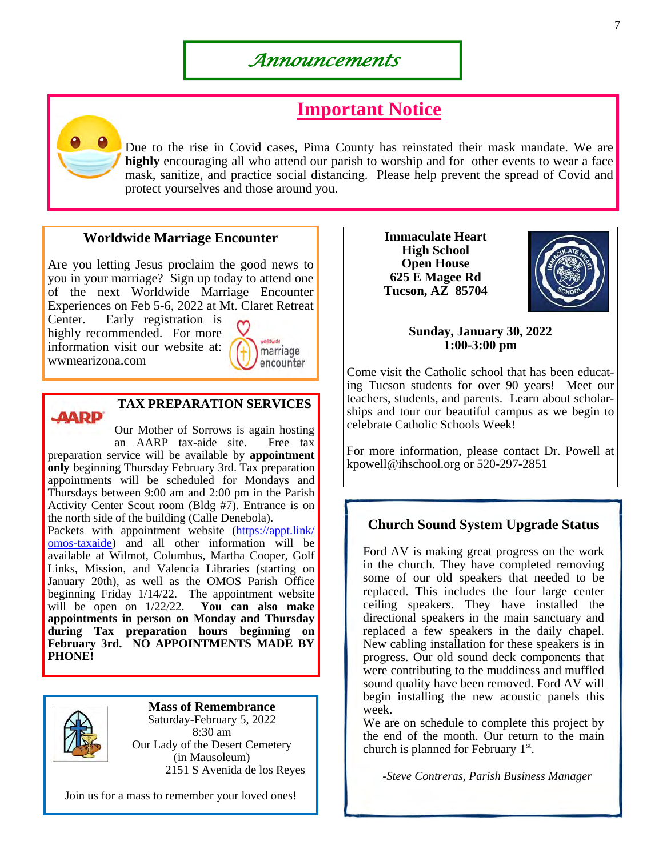# **Important Notice**

Due to the rise in Covid cases, Pima County has reinstated their mask mandate. We are **highly** encouraging all who attend our parish to worship and for other events to wear a face mask, sanitize, and practice social distancing. Please help prevent the spread of Covid and protect yourselves and those around you.

#### **Worldwide Marriage Encounter**

Are you letting Jesus proclaim the good news to you in your marriage? Sign up today to attend one of the next Worldwide Marriage Encounter Experiences on Feb 5-6, 2022 at Mt. Claret Retreat

Center. Early registration is highly recommended. For more information visit our website at: wwmearizona.com





### **TAX PREPARATION SERVICES**

Our Mother of Sorrows is again hosting an AARP tax-aide site. Free tax preparation service will be available by **appointment only** beginning Thursday February 3rd. Tax preparation appointments will be scheduled for Mondays and Thursdays between 9:00 am and 2:00 pm in the Parish Activity Center Scout room (Bldg #7). Entrance is on the north side of the building (Calle Denebola).

Packets with appointment website (https://appt.link/ omos-taxaide) and all other information will be available at Wilmot, Columbus, Martha Cooper, Golf Links, Mission, and Valencia Libraries (starting on January 20th), as well as the OMOS Parish Office beginning Friday 1/14/22. The appointment website will be open on 1/22/22. **You can also make appointments in person on Monday and Thursday during Tax preparation hours beginning on February 3rd. NO APPOINTMENTS MADE BY PHONE!** 



**Mass of Remembrance**  Saturday-February 5, 2022 8:30 am Our Lady of the Desert Cemetery (in Mausoleum) 2151 S Avenida de los Reyes

Join us for a mass to remember your loved ones!

**Immaculate Heart High School Open House 625 E Magee Rd Tucson, AZ 85704** 



**Sunday, January 30, 2022 1:00-3:00 pm** 

Come visit the Catholic school that has been educating Tucson students for over 90 years! Meet our teachers, students, and parents. Learn about scholarships and tour our beautiful campus as we begin to celebrate Catholic Schools Week!

For more information, please contact Dr. Powell at kpowell@ihschool.org or 520-297-2851

#### **Church Sound System Upgrade Status**

Ford AV is making great progress on the work in the church. They have completed removing some of our old speakers that needed to be replaced. This includes the four large center ceiling speakers. They have installed the directional speakers in the main sanctuary and replaced a few speakers in the daily chapel. New cabling installation for these speakers is in progress. Our old sound deck components that were contributing to the muddiness and muffled sound quality have been removed. Ford AV will begin installing the new acoustic panels this week.

We are on schedule to complete this project by the end of the month. Our return to the main church is planned for February  $1<sup>st</sup>$ .

*-Steve Contreras, Parish Business Manager*